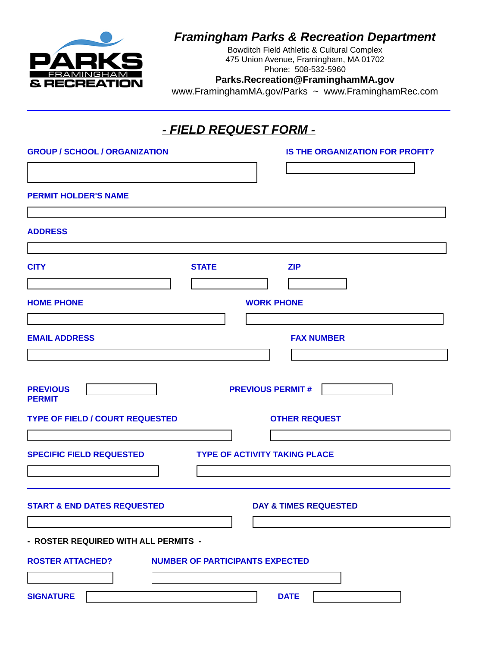

# *Framingham Parks & Recreation Department*

Bowditch Field Athletic & Cultural Complex 475 Union Avenue, Framingham, MA 01702 Phone: 508-532-5960

#### **Parks.Recreation@FraminghamMA.gov**

www.FraminghamMA.gov/Parks ~ www.FraminghamRec.com

### *- FIELD REQUEST FORM -*

| <b>GROUP / SCHOOL / ORGANIZATION</b>                              | <b>IS THE ORGANIZATION FOR PROFIT?</b> |  |  |
|-------------------------------------------------------------------|----------------------------------------|--|--|
|                                                                   | $\vert \cdot \vert$                    |  |  |
| <b>PERMIT HOLDER'S NAME</b>                                       |                                        |  |  |
|                                                                   |                                        |  |  |
| <b>ADDRESS</b>                                                    |                                        |  |  |
| <b>CITY</b><br><b>STATE</b>                                       | <b>ZIP</b>                             |  |  |
|                                                                   |                                        |  |  |
| <b>HOME PHONE</b>                                                 | <b>WORK PHONE</b>                      |  |  |
|                                                                   |                                        |  |  |
| <b>EMAIL ADDRESS</b>                                              | <b>FAX NUMBER</b>                      |  |  |
|                                                                   |                                        |  |  |
|                                                                   |                                        |  |  |
| <b>PREVIOUS</b><br>$\mathbf{v}$<br><b>PERMIT</b>                  | <b>PREVIOUS PERMIT#</b>                |  |  |
| <b>TYPE OF FIELD / COURT REQUESTED</b>                            | <b>OTHER REQUEST</b>                   |  |  |
| $\left  \mathbf{v} \right $                                       |                                        |  |  |
| <b>SPECIFIC FIELD REQUESTED</b>                                   | <b>TYPE OF ACTIVITY TAKING PLACE</b>   |  |  |
|                                                                   |                                        |  |  |
|                                                                   |                                        |  |  |
| <b>START &amp; END DATES REQUESTED</b>                            | <b>DAY &amp; TIMES REQUESTED</b>       |  |  |
|                                                                   |                                        |  |  |
| - ROSTER REQUIRED WITH ALL PERMITS -                              |                                        |  |  |
| <b>NUMBER OF PARTICIPANTS EXPECTED</b><br><b>ROSTER ATTACHED?</b> |                                        |  |  |
| $\vert$                                                           |                                        |  |  |
| <b>SIGNATURE</b>                                                  | <b>DATE</b>                            |  |  |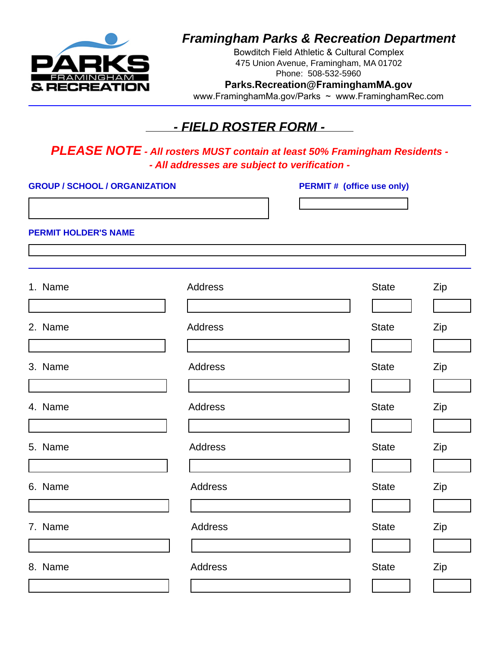

# *Framingham Parks & Recreation Department*

Bowditch Field Athletic & Cultural Complex 475 Union Avenue, Framingham, MA 01702 Phone: 508-532-5960 **Parks.Recreation@FraminghamMA.gov**

www.FraminghamMa.gov/Parks ~ www.FraminghamRec.com

### *- FIELD ROSTER FORM -*

*PLEASE NOTE - All rosters MUST contain at least 50% Framingham Residents - - All addresses are subject to verification -*

**GROUP / SCHOOL / ORGANIZATION PERMIT # (office use only)**

**PERMIT HOLDER'S NAME**

| 1. Name | Address        | <b>State</b> | Zip |
|---------|----------------|--------------|-----|
| 2. Name | <b>Address</b> | <b>State</b> | Zip |
| 3. Name | Address        | <b>State</b> | Zip |
| 4. Name | Address        | <b>State</b> | Zip |
|         |                |              |     |
| 5. Name | Address        | <b>State</b> | Zip |
| 6. Name | Address        | <b>State</b> | Zip |
| 7. Name | Address        | <b>State</b> | Zip |
| 8. Name | Address        | <b>State</b> | Zip |
|         |                |              |     |